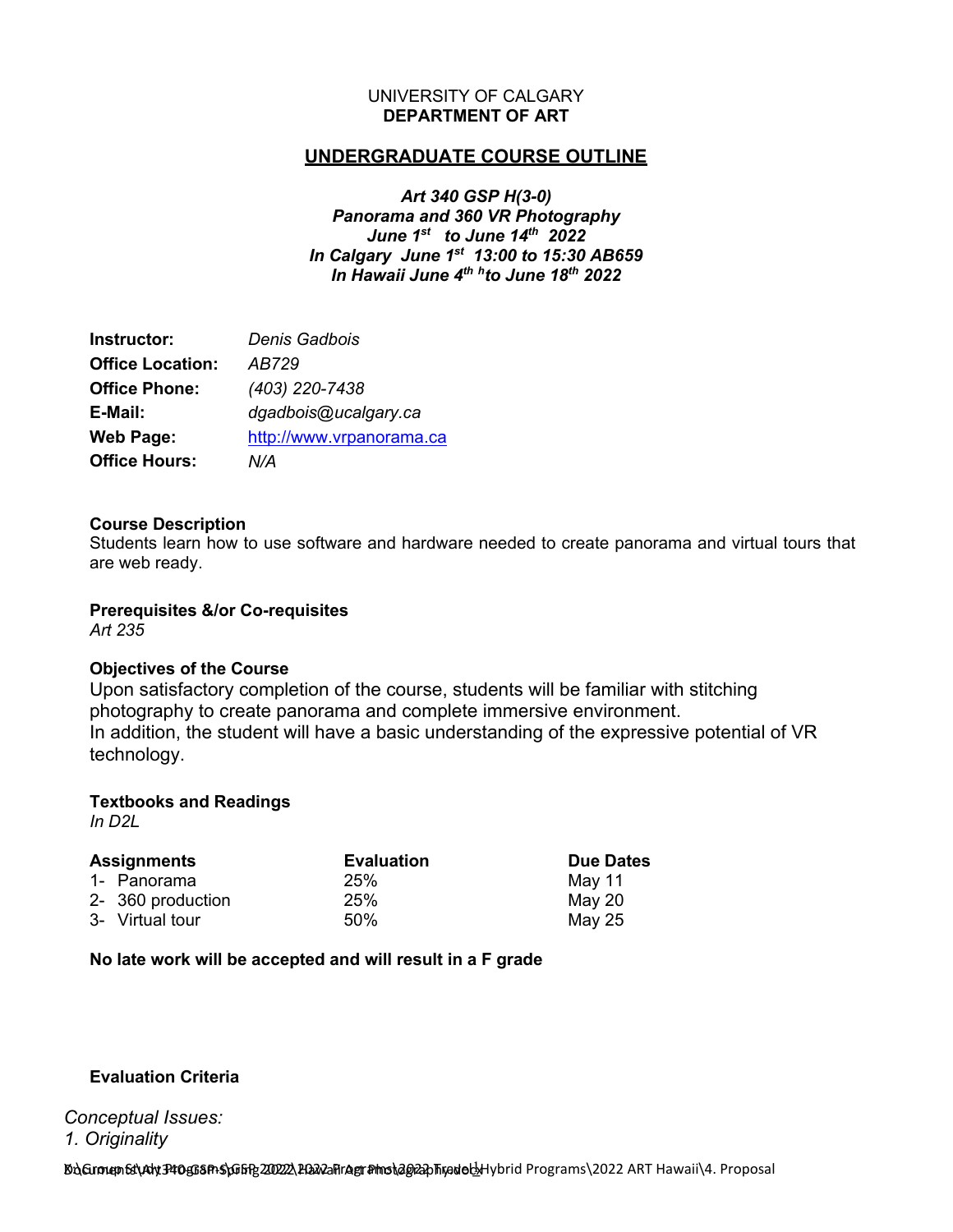### UNIVERSITY OF CALGARY **DEPARTMENT OF ART**

# **UNDERGRADUATE COURSE OUTLINE**

*Art 340 GSP H(3-0) Panorama and 360 VR Photography June 1st to June 14th 2022 In Calgary June 1st 13:00 to 15:30 AB659 In Hawaii June 4th hto June 18th 2022*

| Instructor:             | Denis Gadbois            |
|-------------------------|--------------------------|
| <b>Office Location:</b> | AB729                    |
| <b>Office Phone:</b>    | (403) 220-7438           |
| E-Mail:                 | dgadbois@ucalgary.ca     |
| <b>Web Page:</b>        | http://www.vrpanorama.ca |
| <b>Office Hours:</b>    | N/A                      |

### **Course Description**

Students learn how to use software and hardware needed to create panorama and virtual tours that are web ready.

**Prerequisites &/or Co-requisites** *Art 235*

### **Objectives of the Course**

Upon satisfactory completion of the course, students will be familiar with stitching photography to create panorama and complete immersive environment. In addition, the student will have a basic understanding of the expressive potential of VR technology.

## **Textbooks and Readings**

*In D2L*

| <b>Assignments</b> |                   | <b>Evaluation</b> | <b>Due Dates</b> |
|--------------------|-------------------|-------------------|------------------|
|                    | 1- Panorama       | 25%               | May 11           |
|                    | 2- 360 production | 25%               | May 20           |
|                    | 3- Virtual tour   | 50%               | May 25           |

## **No late work will be accepted and will result in a F grade**

## **Evaluation Criteria**

*Conceptual Issues: 1. Originality*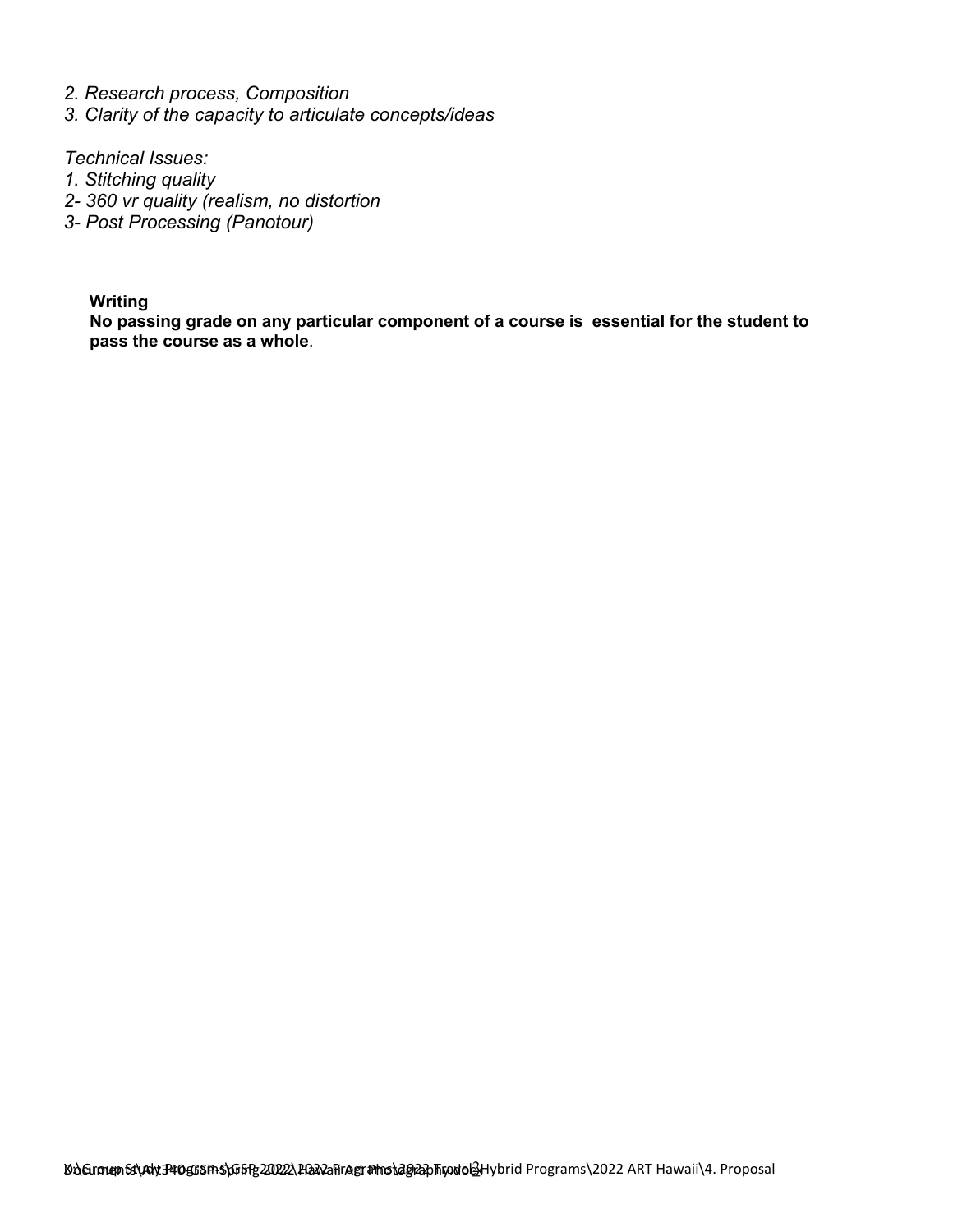- *2. Research process, Composition*
- *3. Clarity of the capacity to articulate concepts/ideas*

*Technical Issues:*

- *1. Stitching quality*
- *2- 360 vr quality (realism, no distortion*
- *3- Post Processing (Panotour)*

**Writing**

**No passing grade on any particular component of a course is essential for the student to pass the course as a whole**.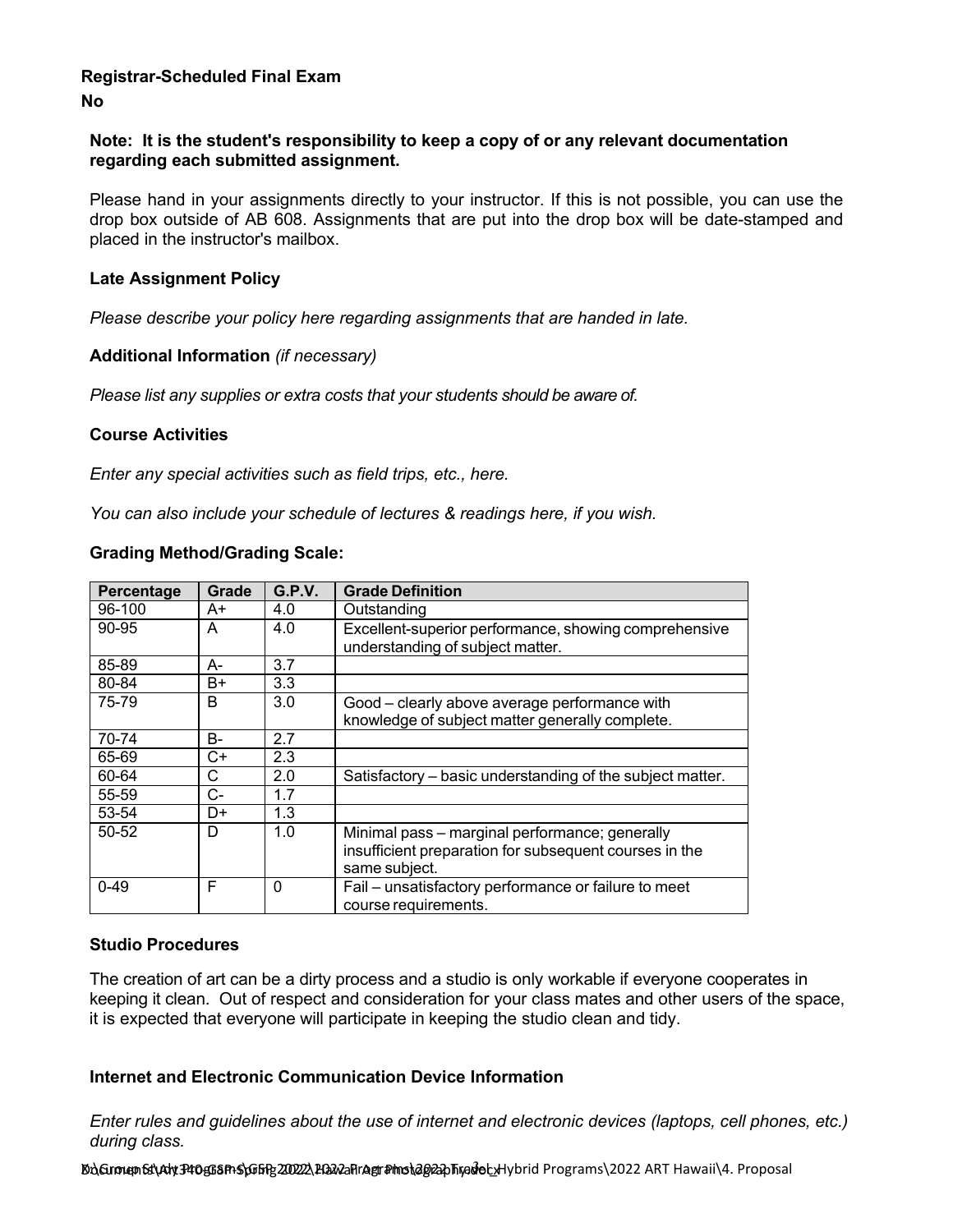### **Registrar-Scheduled Final Exam No**

### **Note: It is the student's responsibility to keep a copy of or any relevant documentation regarding each submitted assignment.**

Please hand in your assignments directly to your instructor. If this is not possible, you can use the drop box outside of AB 608. Assignments that are put into the drop box will be date-stamped and placed in the instructor's mailbox.

### **Late Assignment Policy**

*Please describe your policy here regarding assignments that are handed in late.*

### **Additional Information** *(if necessary)*

*Please list any supplies or extra costs that your students should be aware of.*

### **Course Activities**

*Enter any special activities such as field trips, etc., here.*

*You can also include your schedule of lectures & readings here, if you wish.*

|  | <b>Grading Method/Grading Scale:</b> |  |
|--|--------------------------------------|--|
|--|--------------------------------------|--|

| Percentage | <b>Grade</b> | G.P.V.   | <b>Grade Definition</b>                                                                                                   |  |
|------------|--------------|----------|---------------------------------------------------------------------------------------------------------------------------|--|
| 96-100     | A+           | 4.0      | Outstanding                                                                                                               |  |
| 90-95      | A            | 4.0      | Excellent-superior performance, showing comprehensive<br>understanding of subject matter.                                 |  |
| 85-89      | А-           | 3.7      |                                                                                                                           |  |
| 80-84      | B+           | 3.3      |                                                                                                                           |  |
| 75-79      | B            | 3.0      | Good - clearly above average performance with<br>knowledge of subject matter generally complete.                          |  |
| 70-74      | В-           | 2.7      |                                                                                                                           |  |
| 65-69      | C+           | 2.3      |                                                                                                                           |  |
| 60-64      | С            | 2.0      | Satisfactory – basic understanding of the subject matter.                                                                 |  |
| 55-59      | C-           | 1.7      |                                                                                                                           |  |
| 53-54      | D+           | 1.3      |                                                                                                                           |  |
| 50-52      | D            | 1.0      | Minimal pass - marginal performance; generally<br>insufficient preparation for subsequent courses in the<br>same subject. |  |
| $0 - 49$   | F            | $\Omega$ | Fail - unsatisfactory performance or failure to meet<br>course requirements.                                              |  |

### **Studio Procedures**

The creation of art can be a dirty process and a studio is only workable if everyone cooperates in keeping it clean. Out of respect and consideration for your class mates and other users of the space, it is expected that everyone will participate in keeping the studio clean and tidy.

### **Internet and Electronic Communication Device Information**

*Enter rules and guidelines about the use of internet and electronic devices (laptops, cell phones, etc.) during class.*

Do**\Group Et\Aly P10gG8P+S\GGFR20222\PGA2aFIrAgr#mo\2022** DTRodolcyHybrid Programs \2022 ART Hawaii\4. Proposal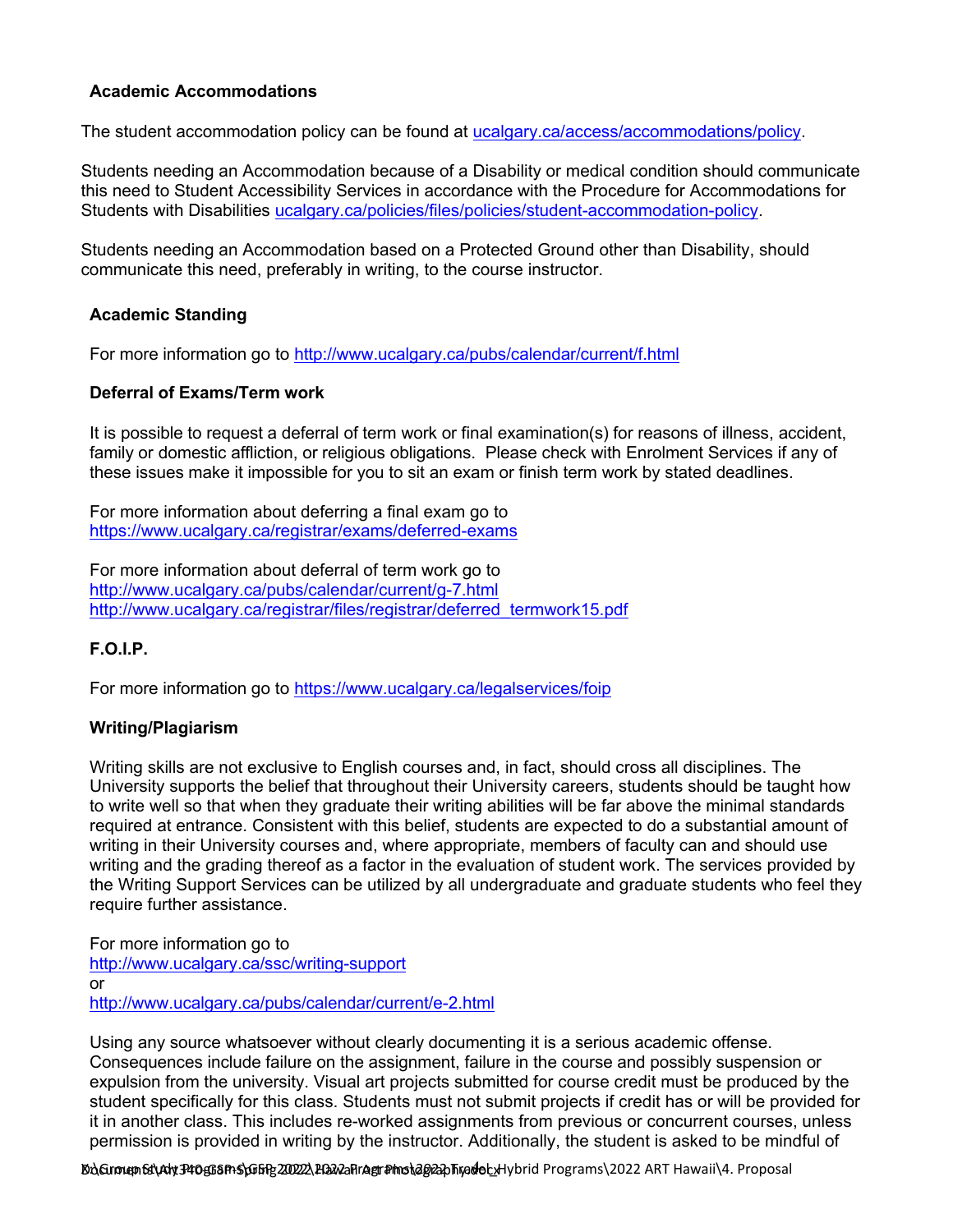# **Academic Accommodations**

The student accommodation policy can be found at [ucalgary.ca/access/accommodations/policy.](http://www.ucalgary.ca/access/accommodations/policy)

Students needing an Accommodation because of a Disability or medical condition should communicate this need to Student Accessibility Services in accordance with the Procedure for Accommodations for Students with Disabilities [ucalgary.ca/policies/files/policies/student-accommodation-policy.](http://www.ucalgary.ca/policies/files/policies/student-accommodation-policy.pdf)

Students needing an Accommodation based on a Protected Ground other than Disability, should communicate this need, preferably in writing, to the course instructor.

## **Academic Standing**

For more information go to <http://www.ucalgary.ca/pubs/calendar/current/f.html>

### **Deferral of Exams/Term work**

It is possible to request a deferral of term work or final examination(s) for reasons of illness, accident, family or domestic affliction, or religious obligations. Please check with Enrolment Services if any of these issues make it impossible for you to sit an exam or finish term work by stated deadlines.

For more information about deferring a final exam go to <https://www.ucalgary.ca/registrar/exams/deferred-exams>

For more information about deferral of term work go to <http://www.ucalgary.ca/pubs/calendar/current/g-7.html> [http://www.ucalgary.ca/registrar/files/registrar/deferred\\_termwork15.pdf](http://www.ucalgary.ca/registrar/files/registrar/deferred_termwork15.pdf)

### **F.O.I.P.**

For more information go to <https://www.ucalgary.ca/legalservices/foip>

## **Writing/Plagiarism**

Writing skills are not exclusive to English courses and, in fact, should cross all disciplines. The University supports the belief that throughout their University careers, students should be taught how to write well so that when they graduate their writing abilities will be far above the minimal standards required at entrance. Consistent with this belief, students are expected to do a substantial amount of writing in their University courses and, where appropriate, members of faculty can and should use writing and the grading thereof as a factor in the evaluation of student work. The services provided by the Writing Support Services can be utilized by all undergraduate and graduate students who feel they require further assistance.

For more information go to <http://www.ucalgary.ca/ssc/writing-support> or <http://www.ucalgary.ca/pubs/calendar/current/e-2.html>

Using any source whatsoever without clearly documenting it is a serious academic offense. Consequences include failure on the assignment, failure in the course and possibly suspension or expulsion from the university. Visual art projects submitted for course credit must be produced by the student specifically for this class. Students must not submit projects if credit has or will be provided for it in another class. This includes re-worked assignments from previous or concurrent courses, unless permission is provided in writing by the instructor. Additionally, the student is asked to be mindful of

Do**\Group Et\Aly P10458FPS\GGFR20222\PGA2aFIrAgr#mo\2022** Hamatic Programs\2022 ART Hawaii\4. Proposal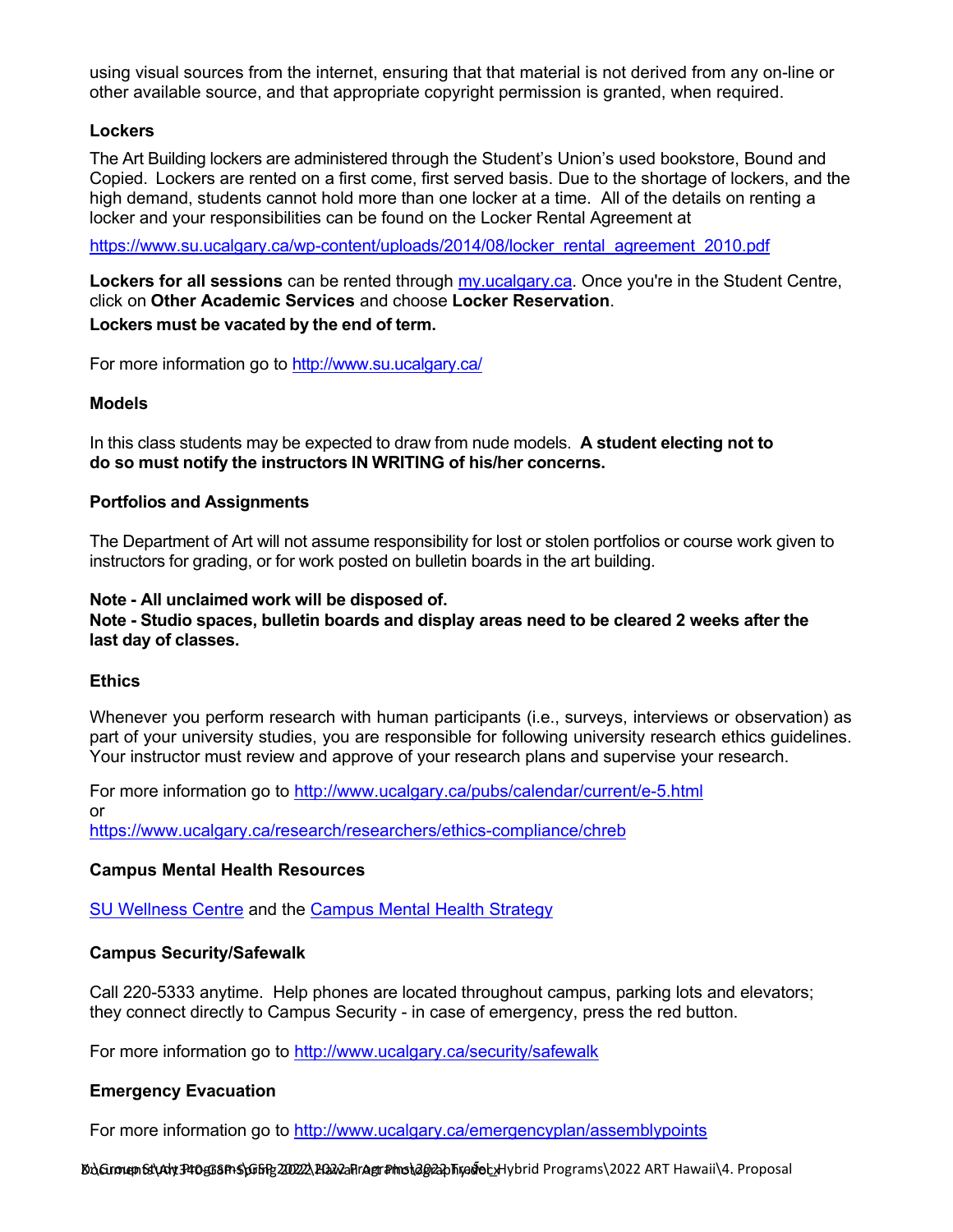using visual sources from the internet, ensuring that that material is not derived from any on-line or other available source, and that appropriate copyright permission is granted, when required.

### **Lockers**

The Art Building lockers are administered through the Student's Union's used bookstore, Bound and Copied. Lockers are rented on a first come, first served basis. Due to the shortage of lockers, and the high demand, students cannot hold more than one locker at a time. All of the details on renting a locker and your responsibilities can be found on the Locker Rental [Agreement](http://www.su.ucalgary.ca/system/files/content/quality-education/aca-services/docs/locker_rental_agreement_2010.pdf) at

[https://www.su.ucalgary.ca/wp-content/uploads/2014/08/locker\\_rental\\_agreement\\_2010.pdf](https://www.su.ucalgary.ca/wp-content/uploads/2014/08/locker_rental_agreement_2010.pdf)

**Lockers for all sessions** can be rented through [my.ucalgary.ca.](http://my.ucalgary.ca/) Once you're in the Student Centre, click on **Other Academic Services** and choose **Locker Reservation**. **Lockers must be vacated by the end of term.**

For more information go to <http://www.su.ucalgary.ca/>

### **Models**

In this class students may be expected to draw from nude models. **A student electing not to do so must notify the instructors IN WRITING of his/her concerns.**

#### **Portfolios and Assignments**

The Department of Art will not assume responsibility for lost or stolen portfolios or course work given to instructors for grading, or for work posted on bulletin boards in the art building.

#### **Note - All unclaimed work will be disposed of. Note - Studio spaces, bulletin boards and display areas need to be cleared 2 weeks after the last day of classes.**

### **Ethics**

Whenever you perform research with human participants (i.e., surveys, interviews or observation) as part of your university studies, you are responsible for following university research ethics guidelines. Your instructor must review and approve of your research plans and supervise your research.

For more information go to <http://www.ucalgary.ca/pubs/calendar/current/e-5.html> or <https://www.ucalgary.ca/research/researchers/ethics-compliance/chreb>

### **Campus Mental Health Resources**

[SU Wellness Centre](http://www.ucalgary.ca/wellnesscentre/) and the [Campus Mental Health Strategy](https://www.ucalgary.ca/mentalhealth/)

### **Campus Security/Safewalk**

Call 220-5333 anytime. Help phones are located throughout campus, parking lots and elevators; they connect directly to Campus Security - in case of emergency, press the red button.

For more information go to <http://www.ucalgary.ca/security/safewalk>

### **Emergency Evacuation**

For more information go to<http://www.ucalgary.ca/emergencyplan/assemblypoints>

Do**\Group Et\Aly P10558F1S\GGFR20222\PGA2aF1Agr#ms\2022** DTAG@E\Hybrid Programs\2022 ART Hawaii\4. Proposal